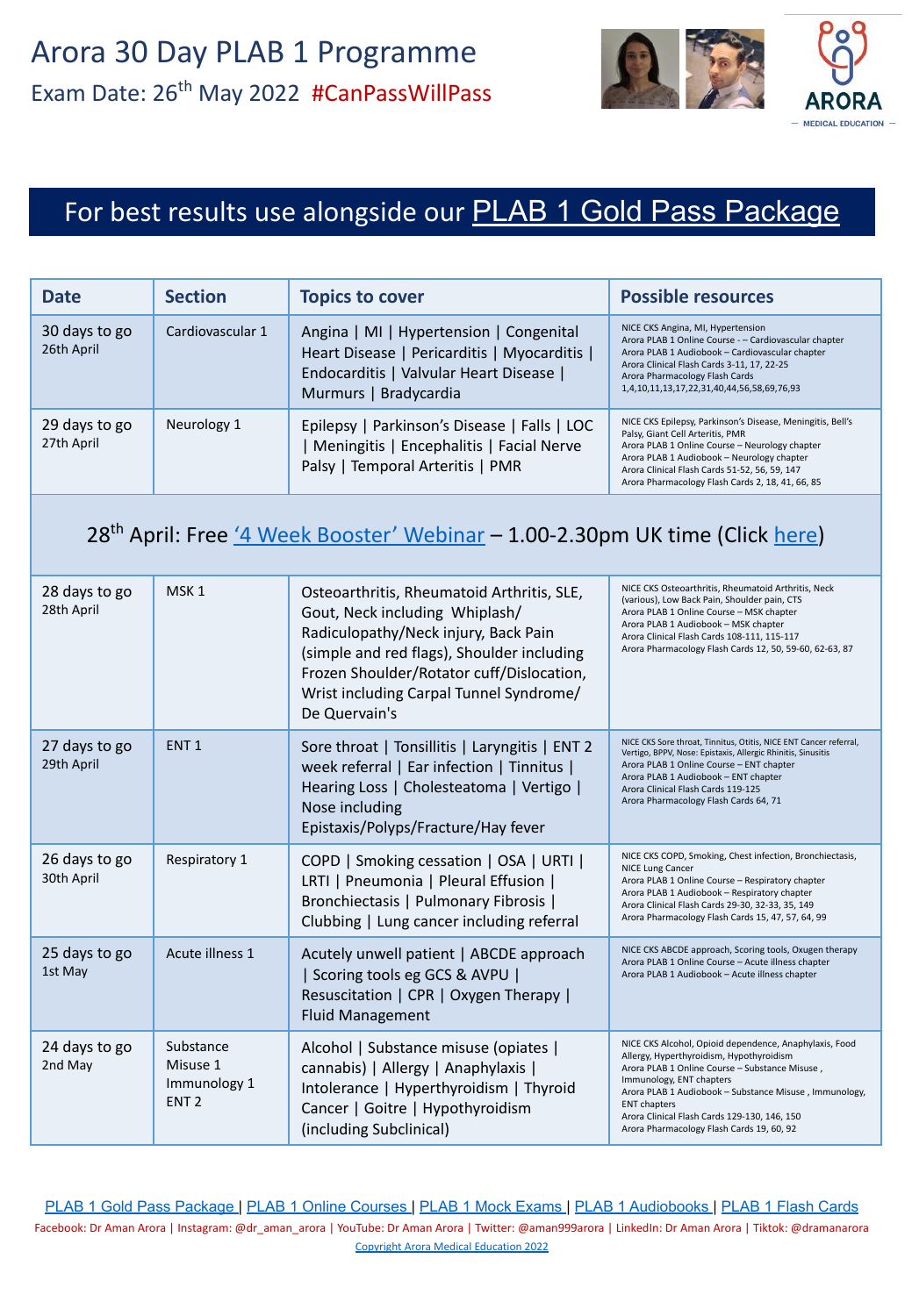

# For best results use alongside our [PLAB 1 Gold Pass Package](https://aroramedicaleducation.co.uk/plab-1-gold-pass-package/)

| <b>Date</b>                 | <b>Section</b>   | <b>Topics to cover</b>                                                                                                                                      | <b>Possible resources</b>                                                                                                                                                                                                                                                                           |
|-----------------------------|------------------|-------------------------------------------------------------------------------------------------------------------------------------------------------------|-----------------------------------------------------------------------------------------------------------------------------------------------------------------------------------------------------------------------------------------------------------------------------------------------------|
| 30 days to go<br>26th April | Cardiovascular 1 | Angina   MI   Hypertension   Congenital<br>Heart Disease   Pericarditis   Myocarditis  <br>Endocarditis   Valvular Heart Disease  <br>Murmurs   Bradycardia | NICE CKS Angina, MI, Hypertension<br>Arora PLAB 1 Online Course - - Cardiovascular chapter<br>Arora PLAB 1 Audiobook - Cardiovascular chapter<br>Arora Clinical Flash Cards 3-11, 17, 22-25<br>Arora Pharmacology Flash Cards<br>1,4,10,11,13,17,22,31,40,44,56,58,69,76,93                         |
| 29 days to go<br>27th April | Neurology 1      | Epilepsy   Parkinson's Disease   Falls   LOC<br>Meningitis   Encephalitis   Facial Nerve<br>Palsy   Temporal Arteritis   PMR                                | NICE CKS Epilepsy, Parkinson's Disease, Meningitis, Bell's<br>Palsy, Giant Cell Arteritis, PMR<br>Arora PLAB 1 Online Course - Neurology chapter<br>Arora PLAB 1 Audiobook - Neurology chapter<br>Arora Clinical Flash Cards 51-52, 56, 59, 147<br>Arora Pharmacology Flash Cards 2, 18, 41, 66, 85 |

### 28<sup>th</sup> April: Free ['4 Week Booster' Webinar](https://aroramedicaleducation.co.uk/webinars/) - 1.00-2.30pm UK time (Click [here](https://aroramedicaleducation.co.uk/webinars/))

| 28 days to go<br>28th April | MSK <sub>1</sub>                                          | Osteoarthritis, Rheumatoid Arthritis, SLE,<br>Gout, Neck including Whiplash/<br>Radiculopathy/Neck injury, Back Pain<br>(simple and red flags), Shoulder including<br>Frozen Shoulder/Rotator cuff/Dislocation,<br>Wrist including Carpal Tunnel Syndrome/<br>De Quervain's | NICE CKS Osteoarthritis, Rheumatoid Arthritis, Neck<br>(various), Low Back Pain, Shoulder pain, CTS<br>Arora PLAB 1 Online Course - MSK chapter<br>Arora PLAB 1 Audiobook - MSK chapter<br>Arora Clinical Flash Cards 108-111, 115-117<br>Arora Pharmacology Flash Cards 12, 50, 59-60, 62-63, 87                                                              |
|-----------------------------|-----------------------------------------------------------|-----------------------------------------------------------------------------------------------------------------------------------------------------------------------------------------------------------------------------------------------------------------------------|----------------------------------------------------------------------------------------------------------------------------------------------------------------------------------------------------------------------------------------------------------------------------------------------------------------------------------------------------------------|
| 27 days to go<br>29th April | ENT <sub>1</sub>                                          | Sore throat   Tonsillitis   Laryngitis   ENT 2<br>week referral   Ear infection   Tinnitus  <br>Hearing Loss   Cholesteatoma   Vertigo  <br>Nose including<br>Epistaxis/Polyps/Fracture/Hay fever                                                                           | NICE CKS Sore throat, Tinnitus, Otitis, NICE ENT Cancer referral,<br>Vertigo, BPPV, Nose: Epistaxis, Allergic Rhinitis, Sinusitis<br>Arora PLAB 1 Online Course - ENT chapter<br>Arora PLAB 1 Audiobook - ENT chapter<br>Arora Clinical Flash Cards 119-125<br>Arora Pharmacology Flash Cards 64, 71                                                           |
| 26 days to go<br>30th April | Respiratory 1                                             | COPD   Smoking cessation   OSA   URTI  <br>LRTI   Pneumonia   Pleural Effusion  <br>Bronchiectasis   Pulmonary Fibrosis  <br>Clubbing   Lung cancer including referral                                                                                                      | NICE CKS COPD, Smoking, Chest infection, Bronchiectasis,<br><b>NICE Lung Cancer</b><br>Arora PLAB 1 Online Course - Respiratory chapter<br>Arora PLAB 1 Audiobook - Respiratory chapter<br>Arora Clinical Flash Cards 29-30, 32-33, 35, 149<br>Arora Pharmacology Flash Cards 15, 47, 57, 64, 99                                                               |
| 25 days to go<br>1st May    | Acute illness 1                                           | Acutely unwell patient   ABCDE approach<br>Scoring tools eg GCS & AVPU  <br>Resuscitation   CPR   Oxygen Therapy  <br><b>Fluid Management</b>                                                                                                                               | NICE CKS ABCDE approach, Scoring tools, Oxugen therapy<br>Arora PLAB 1 Online Course - Acute illness chapter<br>Arora PLAB 1 Audiobook - Acute illness chapter                                                                                                                                                                                                 |
| 24 days to go<br>2nd May    | Substance<br>Misuse 1<br>Immunology 1<br>ENT <sub>2</sub> | Alcohol   Substance misuse (opiates  <br>cannabis)   Allergy   Anaphylaxis  <br>Intolerance   Hyperthyroidism   Thyroid<br>Cancer   Goitre   Hypothyroidism<br>(including Subclinical)                                                                                      | NICE CKS Alcohol, Opioid dependence, Anaphylaxis, Food<br>Allergy, Hyperthyroidism, Hypothyroidism<br>Arora PLAB 1 Online Course - Substance Misuse,<br>Immunology, ENT chapters<br>Arora PLAB 1 Audiobook - Substance Misuse, Immunology,<br><b>ENT</b> chapters<br>Arora Clinical Flash Cards 129-130, 146, 150<br>Arora Pharmacology Flash Cards 19, 60, 92 |

[PLAB 1 Gold Pass Package](https://aroramedicaleducation.co.uk/plab-1-gold-pass-package/) | [PLAB 1 Online Courses](https://aroramedicaleducation.co.uk/plab-1-online-course/) | [PLAB 1 Mock Exams](https://aroramedicaleducation.co.uk/mock-exam/plab1-mock-exams/) | [PLAB 1 Audiobooks](https://aroramedicaleducation.co.uk/plab-1-audiobook/) | [PLAB 1 Flash Cards](https://aroramedicaleducation.co.uk/arora-medical-flash-cards/) Facebook: Dr Aman Arora | Instagram: @dr\_aman\_arora | YouTube: Dr Aman Arora | Twitter: @aman999arora | LinkedIn: Dr Aman Arora | Tiktok: @dramanarora [Copyright Arora Medical Education 2022](https://aroramedicaleducation.co.uk/plab-1/)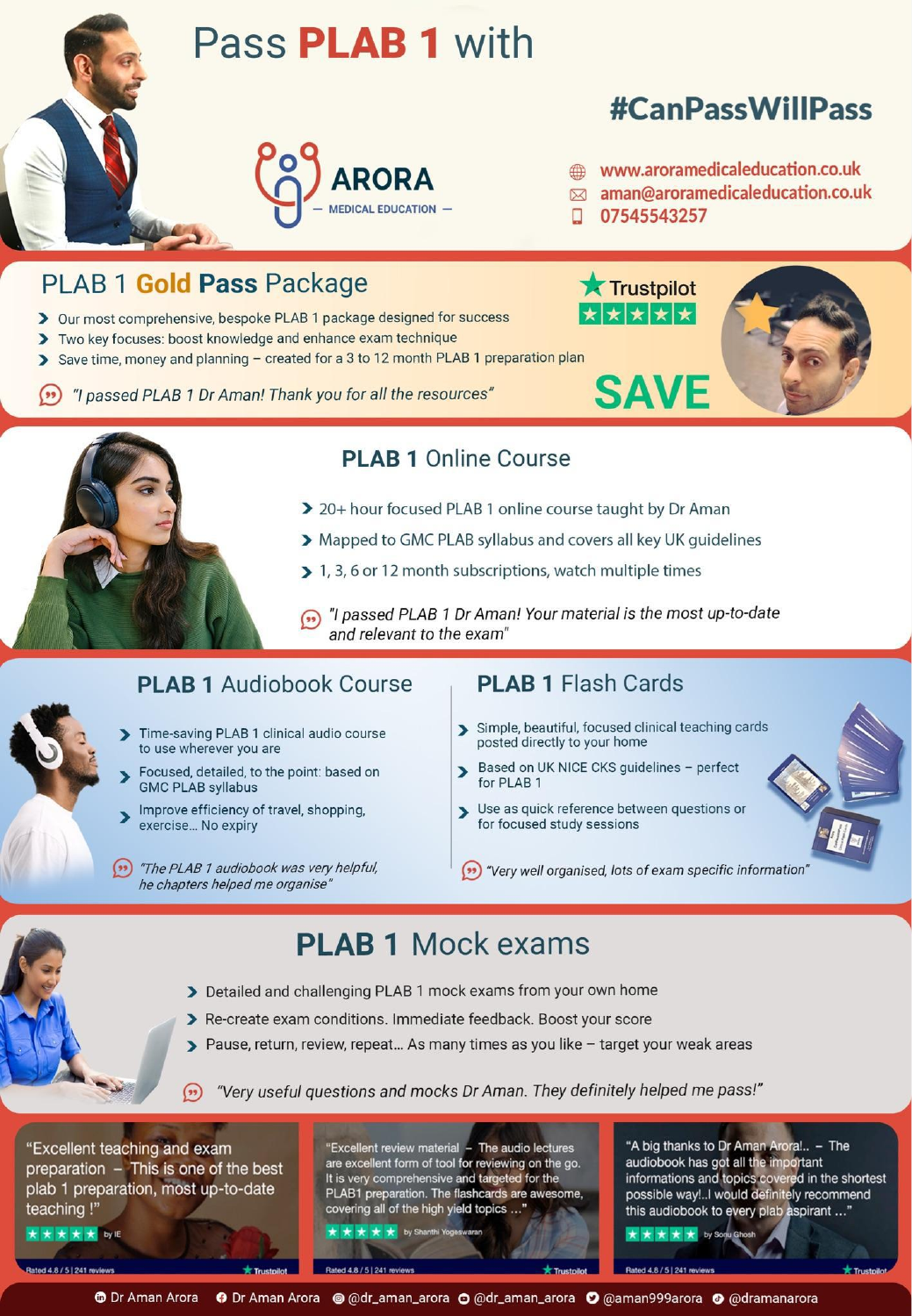

## **PLAB 1 Online Course**

- > 20+ hour focused PLAB 1 online course taught by Dr Aman
- > Mapped to GMC PLAB syllabus and covers all key UK guidelines
- > 1, 3, 6 or 12 month subscriptions, watch multiple times
- (n) "I passed PLAB 1 Dr Aman! Your material is the most up-to-date and relevant to the exam"

## **PLAB 1 Audiobook Course**

- Time-saving PLAB 1 clinical audio course to use wherever you are
- Focused, detailed, to the point: based on **GMC PLAB syllabus**
- Improve efficiency of travel, shopping, exercise... No expiry
- (\*) "The PLAB 1 audiobook was very helpful, he chapters helped me organise"

#### **PLAB 1 Flash Cards**

- Simple, beautiful, focused clinical teaching cards posted directly to your home
- Based on UK NICE CKS guidelines perfect  $\overline{\phantom{0}}$ for PLAB 1
- > Use as quick reference between questions or for focused study sessions
- "Very well organised, lots of exam specific information"

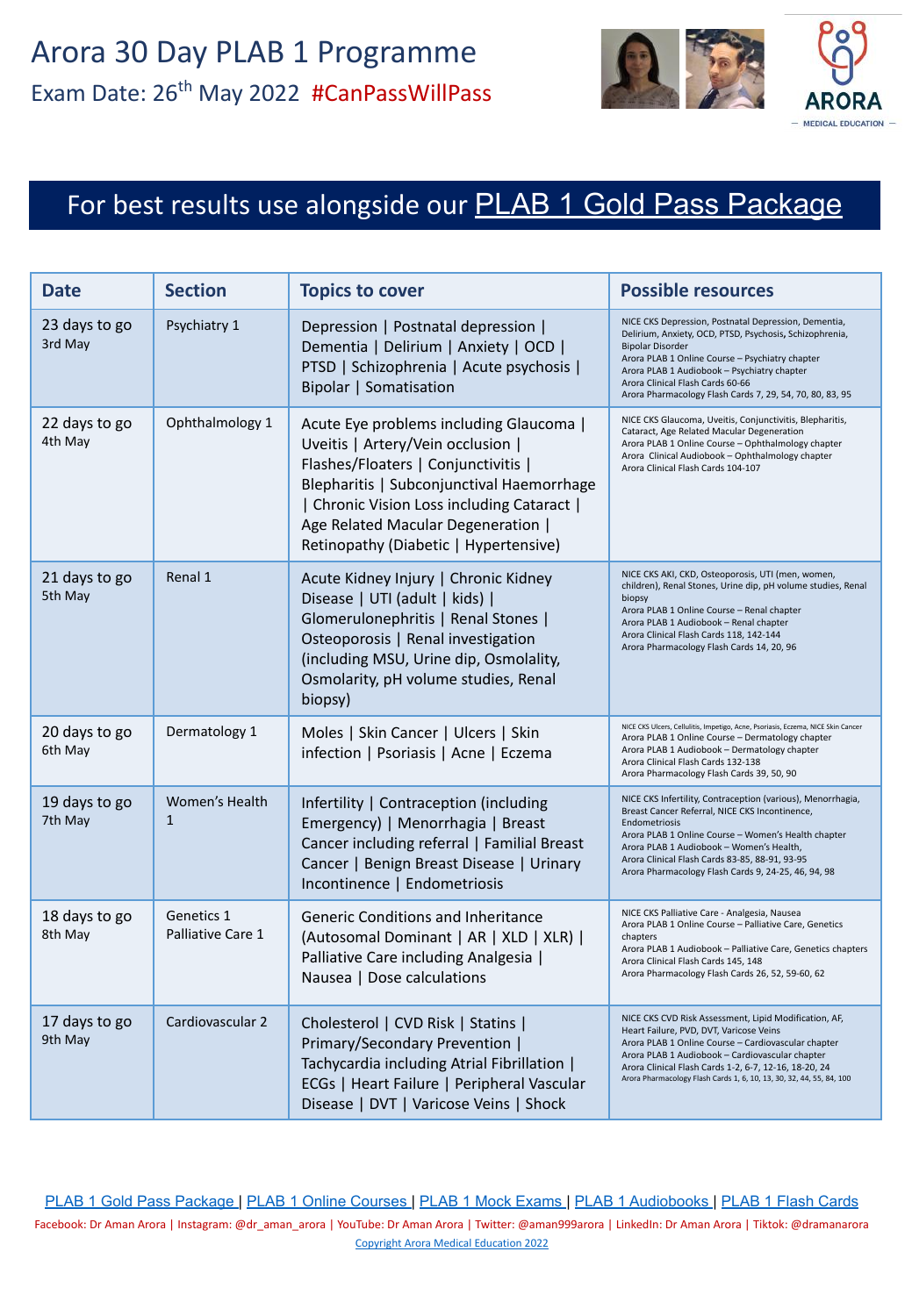

# For best results use alongside our **[PLAB 1 Gold Pass Package](https://aroramedicaleducation.co.uk/plab-1-gold-pass-package/)**

| Date                     | <b>Section</b>                  | <b>Topics to cover</b>                                                                                                                                                                                                                                                                        | <b>Possible resources</b>                                                                                                                                                                                                                                                                                                                    |
|--------------------------|---------------------------------|-----------------------------------------------------------------------------------------------------------------------------------------------------------------------------------------------------------------------------------------------------------------------------------------------|----------------------------------------------------------------------------------------------------------------------------------------------------------------------------------------------------------------------------------------------------------------------------------------------------------------------------------------------|
| 23 days to go<br>3rd May | Psychiatry 1                    | Depression   Postnatal depression  <br>Dementia   Delirium   Anxiety   OCD  <br>PTSD   Schizophrenia   Acute psychosis  <br><b>Bipolar   Somatisation</b>                                                                                                                                     | NICE CKS Depression, Postnatal Depression, Dementia,<br>Delirium, Anxiety, OCD, PTSD, Psychosis, Schizophrenia,<br><b>Bipolar Disorder</b><br>Arora PLAB 1 Online Course - Psychiatry chapter<br>Arora PLAB 1 Audiobook - Psychiatry chapter<br>Arora Clinical Flash Cards 60-66<br>Arora Pharmacology Flash Cards 7, 29, 54, 70, 80, 83, 95 |
| 22 days to go<br>4th May | Ophthalmology 1                 | Acute Eye problems including Glaucoma  <br>Uveitis   Artery/Vein occlusion  <br>Flashes/Floaters   Conjunctivitis  <br>Blepharitis   Subconjunctival Haemorrhage<br>  Chronic Vision Loss including Cataract  <br>Age Related Macular Degeneration  <br>Retinopathy (Diabetic   Hypertensive) | NICE CKS Glaucoma, Uveitis, Conjunctivitis, Blepharitis,<br>Cataract, Age Related Macular Degeneration<br>Arora PLAB 1 Online Course - Ophthalmology chapter<br>Arora Clinical Audiobook - Ophthalmology chapter<br>Arora Clinical Flash Cards 104-107                                                                                       |
| 21 days to go<br>5th May | Renal 1                         | Acute Kidney Injury   Chronic Kidney<br>Disease   UTI (adult   kids)  <br>Glomerulonephritis   Renal Stones  <br>Osteoporosis   Renal investigation<br>(including MSU, Urine dip, Osmolality,<br>Osmolarity, pH volume studies, Renal<br>biopsy)                                              | NICE CKS AKI, CKD, Osteoporosis, UTI (men, women,<br>children), Renal Stones, Urine dip, pH volume studies, Renal<br>biopsy<br>Arora PLAB 1 Online Course - Renal chapter<br>Arora PLAB 1 Audiobook - Renal chapter<br>Arora Clinical Flash Cards 118, 142-144<br>Arora Pharmacology Flash Cards 14, 20, 96                                  |
| 20 days to go<br>6th May | Dermatology 1                   | Moles   Skin Cancer   Ulcers   Skin<br>infection   Psoriasis   Acne   Eczema                                                                                                                                                                                                                  | NICE CKS Ulcers, Cellulitis, Impetigo, Acne, Psoriasis, Eczema, NICE Skin Cancer<br>Arora PLAB 1 Online Course - Dermatology chapter<br>Arora PLAB 1 Audiobook - Dermatology chapter<br>Arora Clinical Flash Cards 132-138<br>Arora Pharmacology Flash Cards 39, 50, 90                                                                      |
| 19 days to go<br>7th May | Women's Health<br>$\mathbf{1}$  | Infertility   Contraception (including<br>Emergency)   Menorrhagia   Breast<br>Cancer including referral   Familial Breast<br>Cancer   Benign Breast Disease   Urinary<br>Incontinence   Endometriosis                                                                                        | NICE CKS Infertility, Contraception (various), Menorrhagia,<br>Breast Cancer Referral, NICE CKS Incontinence,<br>Endometriosis<br>Arora PLAB 1 Online Course - Women's Health chapter<br>Arora PLAB 1 Audiobook - Women's Health,<br>Arora Clinical Flash Cards 83-85, 88-91, 93-95<br>Arora Pharmacology Flash Cards 9, 24-25, 46, 94, 98   |
| 18 days to go<br>8th May | Genetics 1<br>Palliative Care 1 | Generic Conditions and Inheritance<br>(Autosomal Dominant   AR   XLD   XLR)  <br>Palliative Care including Analgesia  <br>Nausea   Dose calculations                                                                                                                                          | NICE CKS Palliative Care - Analgesia, Nausea<br>Arora PLAB 1 Online Course - Palliative Care, Genetics<br>chapters<br>Arora PLAB 1 Audiobook - Palliative Care, Genetics chapters<br>Arora Clinical Flash Cards 145, 148<br>Arora Pharmacology Flash Cards 26, 52, 59-60, 62                                                                 |
| 17 days to go<br>9th May | Cardiovascular 2                | Cholesterol   CVD Risk   Statins  <br>Primary/Secondary Prevention  <br>Tachycardia including Atrial Fibrillation  <br>ECGs   Heart Failure   Peripheral Vascular<br>Disease   DVT   Varicose Veins   Shock                                                                                   | NICE CKS CVD Risk Assessment, Lipid Modification, AF,<br>Heart Failure, PVD, DVT, Varicose Veins<br>Arora PLAB 1 Online Course - Cardiovascular chapter<br>Arora PLAB 1 Audiobook - Cardiovascular chapter<br>Arora Clinical Flash Cards 1-2, 6-7, 12-16, 18-20, 24<br>Arora Pharmacology Flash Cards 1, 6, 10, 13, 30, 32, 44, 55, 84, 100  |

[PLAB 1 Gold Pass Package](https://aroramedicaleducation.co.uk/plab-1-gold-pass-package/) | [PLAB 1 Online Courses](https://aroramedicaleducation.co.uk/plab-1-online-course/) | [PLAB 1 Mock Exams](https://aroramedicaleducation.co.uk/mock-exam/plab1-mock-exams/) | [PLAB 1 Audiobooks](https://aroramedicaleducation.co.uk/plab-1-audiobook/) | [PLAB 1 Flash Cards](https://aroramedicaleducation.co.uk/arora-medical-flash-cards/) Facebook: Dr Aman Arora | Instagram: @dr\_aman\_arora | YouTube: Dr Aman Arora | Twitter: @aman999arora | LinkedIn: Dr Aman Arora | Tiktok: @dramanarora [Copyright Arora Medical Education 2022](https://aroramedicaleducation.co.uk/plab-1/)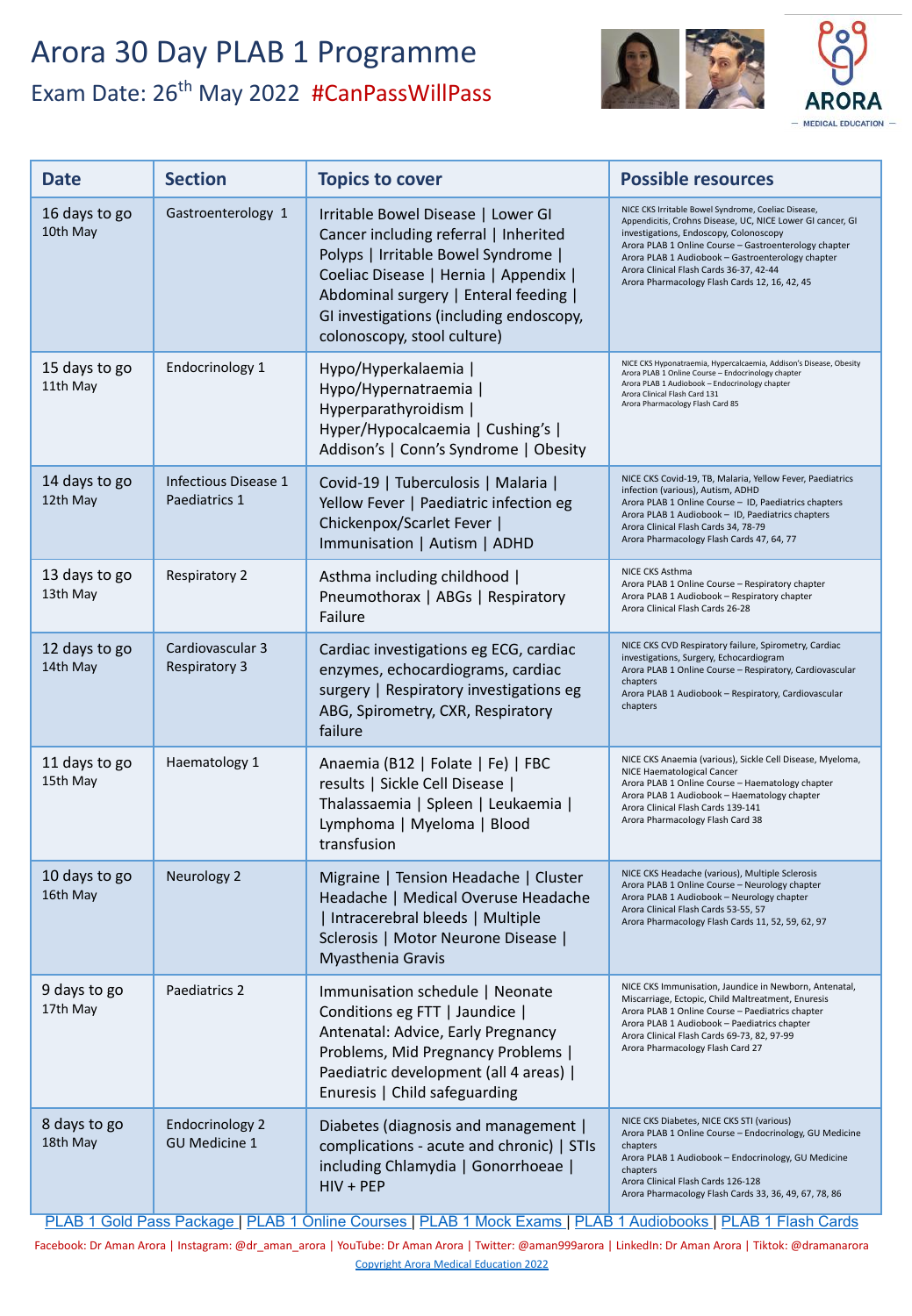# Arora 30 Day PLAB 1 Programme Exam Date: 26<sup>th</sup> May 2022 #CanPassWillPass



| <b>Date</b>               | <b>Section</b>                                 | <b>Topics to cover</b>                                                                                                                                                                                                                                                         | <b>Possible resources</b>                                                                                                                                                                                                                                                                                                                                             |
|---------------------------|------------------------------------------------|--------------------------------------------------------------------------------------------------------------------------------------------------------------------------------------------------------------------------------------------------------------------------------|-----------------------------------------------------------------------------------------------------------------------------------------------------------------------------------------------------------------------------------------------------------------------------------------------------------------------------------------------------------------------|
| 16 days to go<br>10th May | Gastroenterology 1                             | Irritable Bowel Disease   Lower GI<br>Cancer including referral   Inherited<br>Polyps   Irritable Bowel Syndrome  <br>Coeliac Disease   Hernia   Appendix  <br>Abdominal surgery   Enteral feeding  <br>GI investigations (including endoscopy,<br>colonoscopy, stool culture) | NICE CKS Irritable Bowel Syndrome, Coeliac Disease,<br>Appendicitis, Crohns Disease, UC, NICE Lower GI cancer, GI<br>investigations, Endoscopy, Colonoscopy<br>Arora PLAB 1 Online Course - Gastroenterology chapter<br>Arora PLAB 1 Audiobook - Gastroenterology chapter<br>Arora Clinical Flash Cards 36-37, 42-44<br>Arora Pharmacology Flash Cards 12, 16, 42, 45 |
| 15 days to go<br>11th May | Endocrinology 1                                | Hypo/Hyperkalaemia  <br>Hypo/Hypernatraemia  <br>Hyperparathyroidism  <br>Hyper/Hypocalcaemia   Cushing's  <br>Addison's   Conn's Syndrome   Obesity                                                                                                                           | NICE CKS Hyponatraemia, Hypercalcaemia, Addison's Disease, Obesity<br>Arora PLAB 1 Online Course - Endocrinology chapter<br>Arora PLAB 1 Audiobook - Endocrinology chapter<br>Arora Clinical Flash Card 131<br>Arora Pharmacology Flash Card 85                                                                                                                       |
| 14 days to go<br>12th May | Infectious Disease 1<br>Paediatrics 1          | Covid-19   Tuberculosis   Malaria  <br>Yellow Fever   Paediatric infection eg<br>Chickenpox/Scarlet Fever  <br>Immunisation   Autism   ADHD                                                                                                                                    | NICE CKS Covid-19, TB, Malaria, Yellow Fever, Paediatrics<br>infection (various), Autism, ADHD<br>Arora PLAB 1 Online Course - ID, Paediatrics chapters<br>Arora PLAB 1 Audiobook - ID, Paediatrics chapters<br>Arora Clinical Flash Cards 34, 78-79<br>Arora Pharmacology Flash Cards 47, 64, 77                                                                     |
| 13 days to go<br>13th May | <b>Respiratory 2</b>                           | Asthma including childhood  <br>Pneumothorax   ABGs   Respiratory<br>Failure                                                                                                                                                                                                   | NICE CKS Asthma<br>Arora PLAB 1 Online Course - Respiratory chapter<br>Arora PLAB 1 Audiobook - Respiratory chapter<br>Arora Clinical Flash Cards 26-28                                                                                                                                                                                                               |
| 12 days to go<br>14th May | Cardiovascular 3<br><b>Respiratory 3</b>       | Cardiac investigations eg ECG, cardiac<br>enzymes, echocardiograms, cardiac<br>surgery   Respiratory investigations eg<br>ABG, Spirometry, CXR, Respiratory<br>failure                                                                                                         | NICE CKS CVD Respiratory failure, Spirometry, Cardiac<br>investigations, Surgery, Echocardiogram<br>Arora PLAB 1 Online Course - Respiratory, Cardiovascular<br>chapters<br>Arora PLAB 1 Audiobook - Respiratory, Cardiovascular<br>chapters                                                                                                                          |
| 11 days to go<br>15th May | Haematology 1                                  | Anaemia (B12   Folate   Fe)   FBC<br>results   Sickle Cell Disease  <br>Thalassaemia   Spleen   Leukaemia  <br>Lymphoma   Myeloma   Blood<br>transfusion                                                                                                                       | NICE CKS Anaemia (various), Sickle Cell Disease, Myeloma,<br>NICE Haematological Cancer<br>Arora PLAB 1 Online Course - Haematology chapter<br>Arora PLAB 1 Audiobook - Haematology chapter<br>Arora Clinical Flash Cards 139-141<br>Arora Pharmacology Flash Card 38                                                                                                 |
| 10 days to go<br>16th May | Neurology 2                                    | Migraine   Tension Headache   Cluster<br>Headache   Medical Overuse Headache<br>  Intracerebral bleeds   Multiple<br>Sclerosis   Motor Neurone Disease  <br>Myasthenia Gravis                                                                                                  | NICE CKS Headache (various), Multiple Sclerosis<br>Arora PLAB 1 Online Course - Neurology chapter<br>Arora PLAB 1 Audiobook - Neurology chapter<br>Arora Clinical Flash Cards 53-55, 57<br>Arora Pharmacology Flash Cards 11, 52, 59, 62, 97                                                                                                                          |
| 9 days to go<br>17th May  | Paediatrics 2                                  | Immunisation schedule   Neonate<br>Conditions eg FTT   Jaundice  <br>Antenatal: Advice, Early Pregnancy<br>Problems, Mid Pregnancy Problems  <br>Paediatric development (all 4 areas)  <br>Enuresis   Child safeguarding                                                       | NICE CKS Immunisation, Jaundice in Newborn, Antenatal,<br>Miscarriage, Ectopic, Child Maltreatment, Enuresis<br>Arora PLAB 1 Online Course - Paediatrics chapter<br>Arora PLAB 1 Audiobook - Paediatrics chapter<br>Arora Clinical Flash Cards 69-73, 82, 97-99<br>Arora Pharmacology Flash Card 27                                                                   |
| 8 days to go<br>18th May  | <b>Endocrinology 2</b><br><b>GU Medicine 1</b> | Diabetes (diagnosis and management  <br>complications - acute and chronic)   STIs<br>including Chlamydia   Gonorrhoeae  <br>$HIV + PEP$                                                                                                                                        | NICE CKS Diabetes, NICE CKS STI (various)<br>Arora PLAB 1 Online Course - Endocrinology, GU Medicine<br>chapters<br>Arora PLAB 1 Audiobook - Endocrinology, GU Medicine<br>chapters<br>Arora Clinical Flash Cards 126-128<br>Arora Pharmacology Flash Cards 33, 36, 49, 67, 78, 86<br>$\overline{1}$ $\overline{2}$ $\overline{1}$                                    |

[PLAB 1 Gold Pass Package](https://aroramedicaleducation.co.uk/plab-1-gold-pass-package/) | [PLAB 1 Online Courses](https://aroramedicaleducation.co.uk/plab-1-online-course/) | [PLAB 1 Mock Exams](https://aroramedicaleducation.co.uk/mock-exam/plab1-mock-exams/) | [PLAB 1 Audiobooks](https://aroramedicaleducation.co.uk/plab-1-audiobook/) | [PLAB 1 Flash Cards](https://aroramedicaleducation.co.uk/arora-medical-flash-cards/)

Facebook: Dr Aman Arora | Instagram: @dr\_aman\_arora | YouTube: Dr Aman Arora | Twitter: @aman999arora | LinkedIn: Dr Aman Arora | Tiktok: @dramanarora [Copyright Arora Medical Education 2022](https://aroramedicaleducation.co.uk/plab-1/)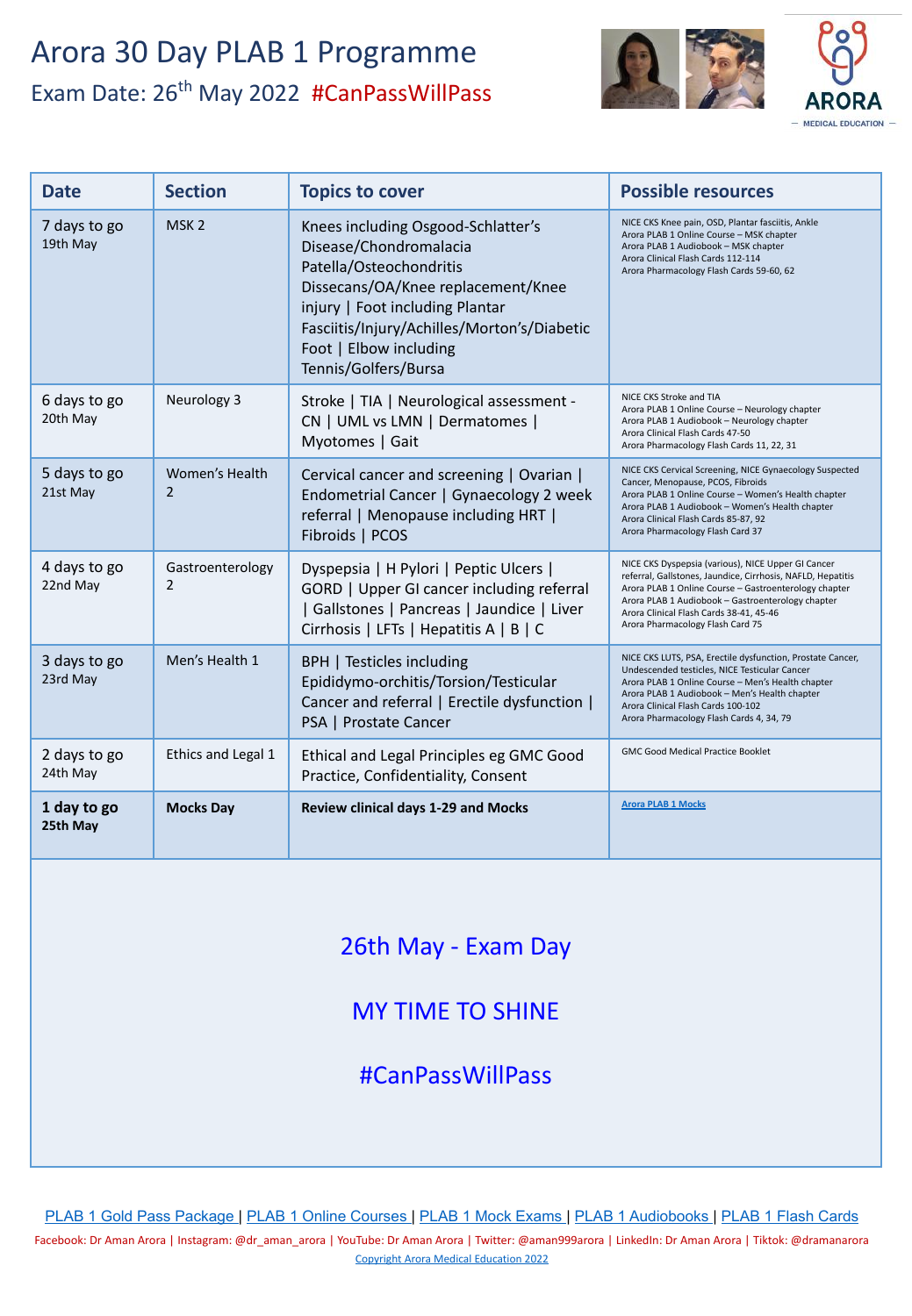## Arora 30 Day PLAB 1 Programme Exam Date: 26<sup>th</sup> May 2022 #CanPassWillPass



| <b>Date</b>              | <b>Section</b>        | <b>Topics to cover</b>                                                                                                                                                                                                                                            | <b>Possible resources</b>                                                                                                                                                                                                                                                                                      |
|--------------------------|-----------------------|-------------------------------------------------------------------------------------------------------------------------------------------------------------------------------------------------------------------------------------------------------------------|----------------------------------------------------------------------------------------------------------------------------------------------------------------------------------------------------------------------------------------------------------------------------------------------------------------|
| 7 days to go<br>19th May | MSK <sub>2</sub>      | Knees including Osgood-Schlatter's<br>Disease/Chondromalacia<br>Patella/Osteochondritis<br>Dissecans/OA/Knee replacement/Knee<br>injury   Foot including Plantar<br>Fasciitis/Injury/Achilles/Morton's/Diabetic<br>Foot   Elbow including<br>Tennis/Golfers/Bursa | NICE CKS Knee pain, OSD, Plantar fasciitis, Ankle<br>Arora PLAB 1 Online Course - MSK chapter<br>Arora PLAB 1 Audiobook - MSK chapter<br>Arora Clinical Flash Cards 112-114<br>Arora Pharmacology Flash Cards 59-60, 62                                                                                        |
| 6 days to go<br>20th May | Neurology 3           | Stroke   TIA   Neurological assessment -<br>CN   UML vs LMN   Dermatomes  <br>Myotomes   Gait                                                                                                                                                                     | NICE CKS Stroke and TIA<br>Arora PLAB 1 Online Course - Neurology chapter<br>Arora PLAB 1 Audiobook - Neurology chapter<br>Arora Clinical Flash Cards 47-50<br>Arora Pharmacology Flash Cards 11, 22, 31                                                                                                       |
| 5 days to go<br>21st May | Women's Health<br>2   | Cervical cancer and screening   Ovarian  <br>Endometrial Cancer   Gynaecology 2 week<br>referral   Menopause including HRT  <br>Fibroids   PCOS                                                                                                                   | NICE CKS Cervical Screening, NICE Gynaecology Suspected<br>Cancer, Menopause, PCOS, Fibroids<br>Arora PLAB 1 Online Course - Women's Health chapter<br>Arora PLAB 1 Audiobook - Women's Health chapter<br>Arora Clinical Flash Cards 85-87, 92<br>Arora Pharmacology Flash Card 37                             |
| 4 days to go<br>22nd May | Gastroenterology<br>2 | Dyspepsia   H Pylori   Peptic Ulcers  <br>GORD   Upper GI cancer including referral<br>  Gallstones   Pancreas   Jaundice   Liver<br>Cirrhosis   LFTs   Hepatitis A   B   C                                                                                       | NICE CKS Dyspepsia (various), NICE Upper GI Cancer<br>referral, Gallstones, Jaundice, Cirrhosis, NAFLD, Hepatitis<br>Arora PLAB 1 Online Course - Gastroenterology chapter<br>Arora PLAB 1 Audiobook - Gastroenterology chapter<br>Arora Clinical Flash Cards 38-41, 45-46<br>Arora Pharmacology Flash Card 75 |
| 3 days to go<br>23rd May | Men's Health 1        | BPH   Testicles including<br>Epididymo-orchitis/Torsion/Testicular<br>Cancer and referral   Erectile dysfunction  <br>PSA   Prostate Cancer                                                                                                                       | NICE CKS LUTS, PSA, Erectile dysfunction, Prostate Cancer,<br>Undescended testicles, NICE Testicular Cancer<br>Arora PLAB 1 Online Course - Men's Health chapter<br>Arora PLAB 1 Audiobook - Men's Health chapter<br>Arora Clinical Flash Cards 100-102<br>Arora Pharmacology Flash Cards 4, 34, 79            |
| 2 days to go<br>24th May | Ethics and Legal 1    | Ethical and Legal Principles eg GMC Good<br>Practice, Confidentiality, Consent                                                                                                                                                                                    | <b>GMC Good Medical Practice Booklet</b>                                                                                                                                                                                                                                                                       |
| 1 day to go<br>25th May  | <b>Mocks Day</b>      | Review clinical days 1-29 and Mocks                                                                                                                                                                                                                               | <b>Arora PLAB 1 Mocks</b>                                                                                                                                                                                                                                                                                      |

## 26th May - Exam Day

## MY TIME TO SHINE

#CanPassWillPass

[PLAB 1 Gold Pass Package](https://aroramedicaleducation.co.uk/plab-1-gold-pass-package/) | [PLAB 1 Online Courses](https://aroramedicaleducation.co.uk/plab-1-online-course/) | [PLAB 1 Mock Exams](https://aroramedicaleducation.co.uk/mock-exam/plab1-mock-exams/) | [PLAB 1 Audiobooks](https://aroramedicaleducation.co.uk/plab-1-audiobook/) | [PLAB 1 Flash Cards](https://aroramedicaleducation.co.uk/arora-medical-flash-cards/)

Facebook: Dr Aman Arora | Instagram: @dr\_aman\_arora | YouTube: Dr Aman Arora | Twitter: @aman999arora | LinkedIn: Dr Aman Arora | Tiktok: @dramanarora [Copyright Arora Medical Education 2022](https://aroramedicaleducation.co.uk/plab-1/)